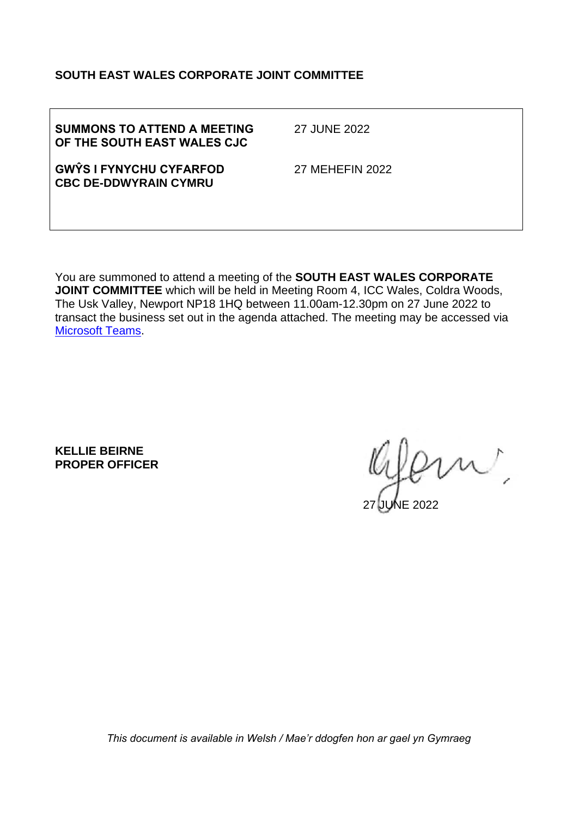#### **SOUTH EAST WALES CORPORATE JOINT COMMITTEE**

| <b>SUMMONS TO ATTEND A MEETING</b> |  |
|------------------------------------|--|
| OF THE SOUTH EAST WALES CJC        |  |

27 JUNE 2022

**GWŶS I FYNYCHU CYFARFOD CBC DE-DDWYRAIN CYMRU**

27 MEHEFIN 2022

You are summoned to attend a meeting of the **SOUTH EAST WALES CORPORATE JOINT COMMITTEE** which will be held in Meeting Room 4, ICC Wales, Coldra Woods, The Usk Valley, Newport NP18 1HQ between 11.00am-12.30pm on 27 June 2022 to transact the business set out in the agenda attached. The meeting may be accessed via [Microsoft Teams.](https://teams.microsoft.com/l/meetup-join/19%3ameeting_Yjg0NTc5MjItMzczYy00OWRhLWIwNzktNWQ0MDM1MzI4YTkx%40thread.v2/0?context=%7b%22Tid%22%3a%22c6352b95-70d9-4702-8877-c68b88eb1b26%22%2c%22Oid%22%3a%2221a83dbb-37bf-4954-bd90-09964408319e%22%7d)

**KELLIE BEIRNE PROPER OFFICER**

m,

27 JUNE 2022

*This document is available in Welsh / Mae'r ddogfen hon ar gael yn Gymraeg*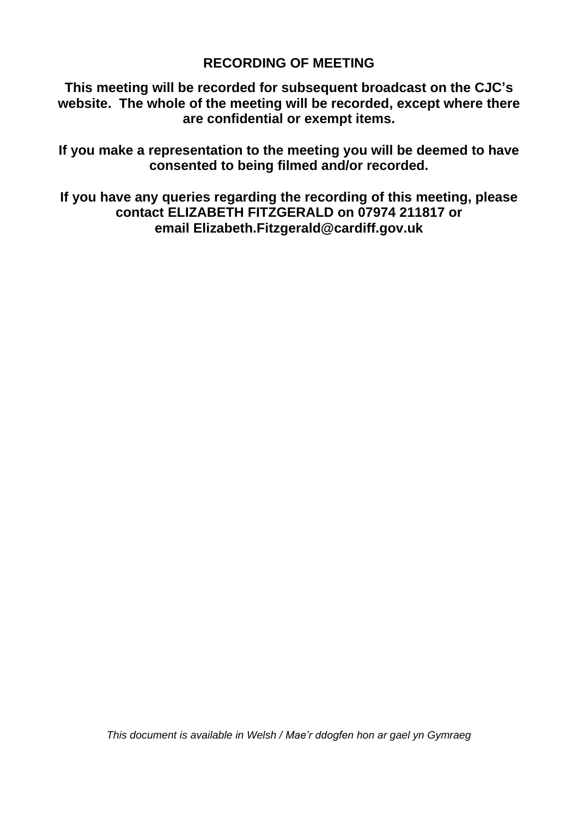#### **RECORDING OF MEETING**

**This meeting will be recorded for subsequent broadcast on the CJC's website. The whole of the meeting will be recorded, except where there are confidential or exempt items.** 

**If you make a representation to the meeting you will be deemed to have consented to being filmed and/or recorded.**

**If you have any queries regarding the recording of this meeting, please contact ELIZABETH FITZGERALD on 07974 211817 or email Elizabeth.Fitzgerald@cardiff.gov.uk**